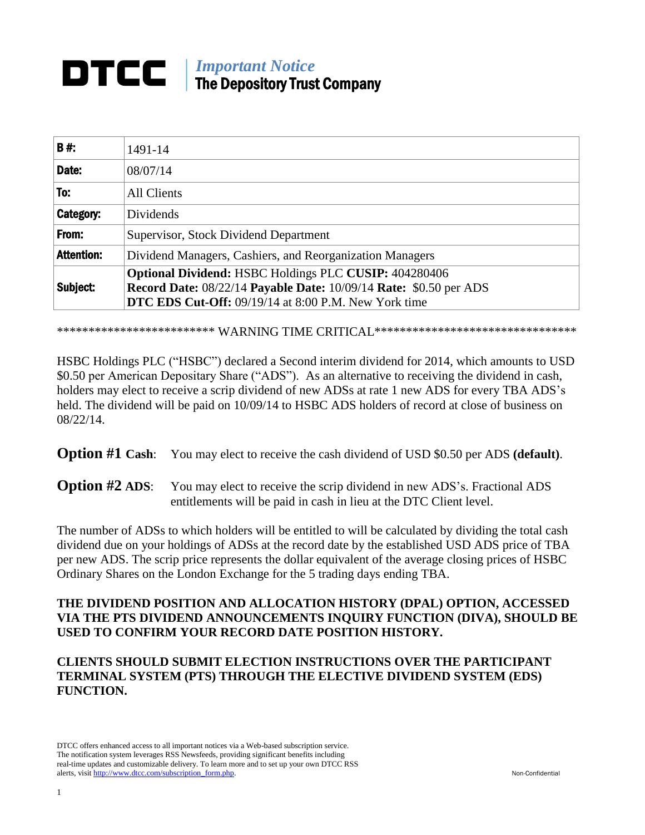#### *Important Notice* DTCC | The Depository Trust Company

| <b>B#:</b>        | 1491-14                                                                                                                                                                            |
|-------------------|------------------------------------------------------------------------------------------------------------------------------------------------------------------------------------|
| Date:             | 08/07/14                                                                                                                                                                           |
| To:               | All Clients                                                                                                                                                                        |
| Category:         | <b>Dividends</b>                                                                                                                                                                   |
| From:             | Supervisor, Stock Dividend Department                                                                                                                                              |
| <b>Attention:</b> | Dividend Managers, Cashiers, and Reorganization Managers                                                                                                                           |
| Subject:          | Optional Dividend: HSBC Holdings PLC CUSIP: 404280406<br>Record Date: 08/22/14 Payable Date: 10/09/14 Rate: \$0.50 per ADS<br>DTC EDS Cut-Off: 09/19/14 at 8:00 P.M. New York time |

 $\ddot{\phantom{0}}$ \*\*\*\*\*\*\*\*\*\*\*\*\*\*\*\*\*\*\*\*\*\*\*\*  $\bf{WARNING\ TIME\ CRITICAL}$ \*\*\*\*\*\*\*\*\*\*\*\*\*\*\*\*\*\*\*\*\*\*\*\*\*\*\*\*\*\*\*\*\*

 $\mathbf{r}$  \$0.50 per American Depositary Share ("ADS"). As an alternative to receiving the dividend in cash, <sup>2</sup> HSBC Holdings PLC ("HSBC") declared a Second interim dividend for 2014, which amounts to USD holders may elect to receive a scrip dividend of new ADSs at rate 1 new ADS for every TBA ADS's held. The dividend will be paid on  $10/09/14$  to HSBC ADS holders of record at close of business on 08/22/14.

**Option #1 Cash**: You may elect to receive the cash dividend of USD \$0.50 per ADS **(default)**.

**Option #2 ADS:** You may elect to receive the scrip dividend in new ADS's. Fractional ADS entitlements will be paid in cash in lieu at the DTC Client level.

The number of ADSs to which holders will be entitled to will be calculated by dividing the total cash dividend due on your holdings of ADSs at the record date by the established USD ADS price of TBA per new ADS. The scrip price represents the dollar equivalent of the average closing prices of HSBC Ordinary Shares on the London Exchange for the 5 trading days ending TBA.

# **THE DIVIDEND POSITION AND ALLOCATION HISTORY (DPAL) OPTION, ACCESSED VIA THE PTS DIVIDEND ANNOUNCEMENTS INQUIRY FUNCTION (DIVA), SHOULD BE USED TO CONFIRM YOUR RECORD DATE POSITION HISTORY.**

## **CLIENTS SHOULD SUBMIT ELECTION INSTRUCTIONS OVER THE PARTICIPANT TERMINAL SYSTEM (PTS) THROUGH THE ELECTIVE DIVIDEND SYSTEM (EDS) FUNCTION.**

DTCC offers enhanced access to all important notices via a Web-based subscription service. The notification system leverages RSS Newsfeeds, providing significant benefits including real-time updates and customizable delivery. To learn more and to set up your own DTCC RSS alerts, visit http://www.dtcc.com/subscription\_form.php. Non-Confidential